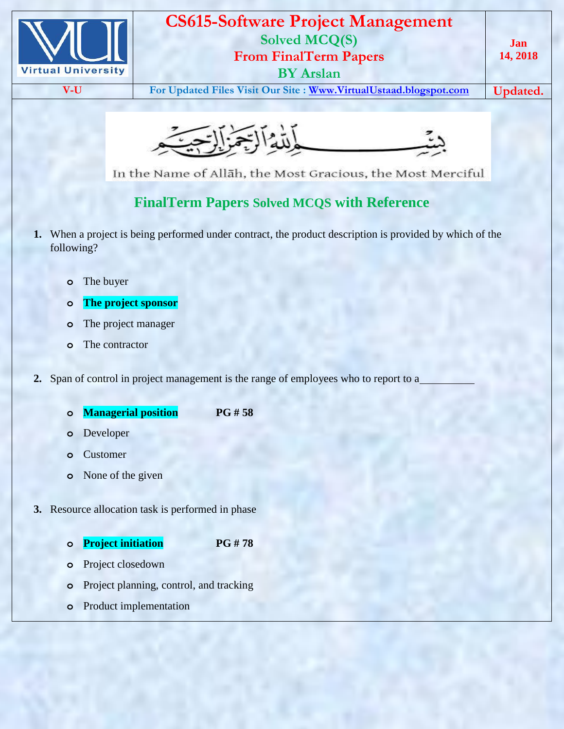

## **CS615-Software Project Management Solved MCQ(S) From FinalTerm Papers BY Arslan**

**V-U For Updated Files Visit Our Site : [Www.VirtualUstaad.blogspot.com](http://www.virtualustaad.blogspot.com/) Updated.**



In the Name of Allāh, the Most Gracious, the Most Merciful

## **FinalTerm Papers Solved MCQS with Reference**

- **1.** When a project is being performed under contract, the product description is provided by which of the following?
	- **o** The buyer
	- **o The project sponsor**
	- **o** The project manager
	- **o** The contractor
- **2.** Span of control in project management is the range of employees who to report to a
	- **o Managerial position PG # 58**
	- **o** Developer
	- **o** Customer
	- **o** None of the given
- **3.** Resource allocation task is performed in phase
	- **o Project initiation PG # 78**
	- **o** Project closedown
	- **o** Project planning, control, and tracking
	- **o** Product implementation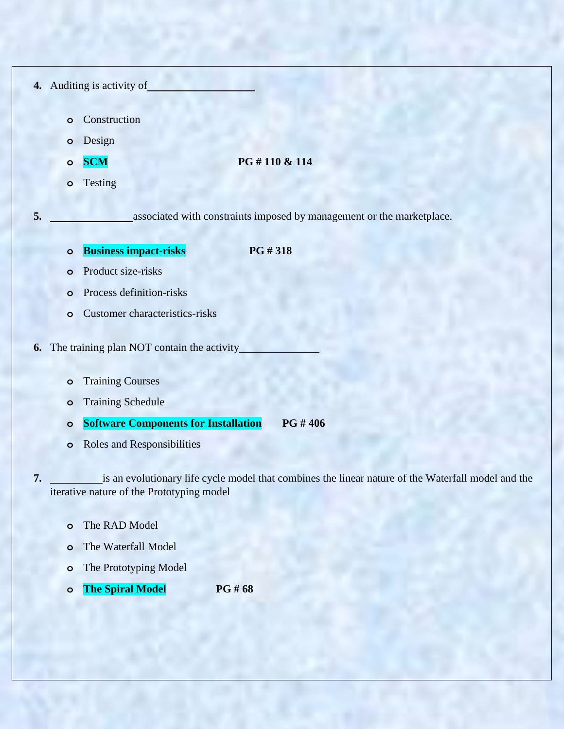- **4.** Auditing is activity of
	- **o** Construction
	- **o** Design
	-
	- **o SCM PG # 110 & 114**
	- **o** Testing

**5.** associated with constraints imposed by management or the marketplace.

**o Business impact-risks PG # 318** 

- **o** Product size-risks
- **o** Process definition-risks
- **o** Customer characteristics-risks
- **6.** The training plan NOT contain the activity
	- **o** Training Courses
	- **o** Training Schedule
	- **o Software Components for Installation PG # 406**
	- **o** Roles and Responsibilities

**7. is an evolutionary life cycle model that combines the linear nature of the Waterfall model and the** iterative nature of the Prototyping model

- **o** The RAD Model
- **o** The Waterfall Model
- **o** The Prototyping Model
- **o The Spiral Model PG # 68**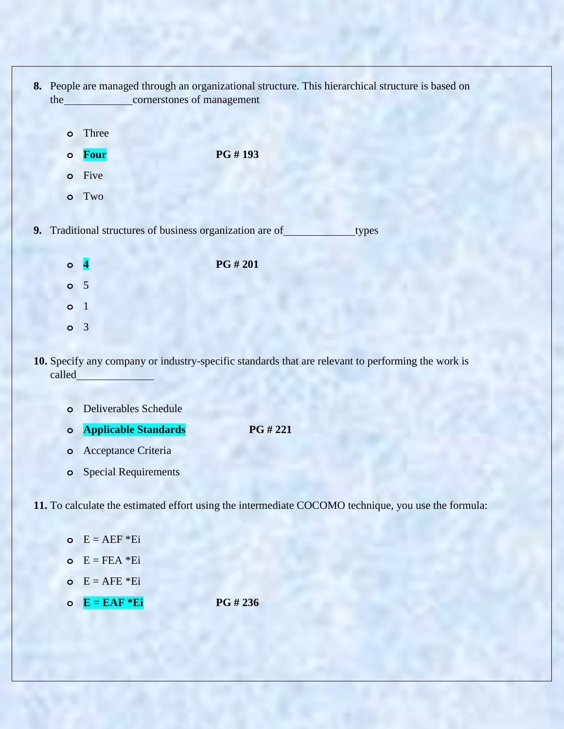- **8.** People are managed through an organizational structure. This hierarchical structure is based on the cornerstones of management
	- **o** Three
	- **o Four PG # 193**
	- **o** Five
	- **o** Two

**9.** Traditional structures of business organization are of types

| $\circ$ |                | PG # 201 |
|---------|----------------|----------|
| $\circ$ | 5 <sup>7</sup> |          |
| $\circ$ | 1              |          |
| $\circ$ |                |          |

**10.** Specify any company or industry-specific standards that are relevant to performing the work is called

| <b>o</b> Deliverables Schedule |             |
|--------------------------------|-------------|
| <b>o</b> Applicable Standards  | $PG \# 221$ |
| $\sim\cdot\cdot$               |             |

- **o** Acceptance Criteria
- **o** Special Requirements

**11.** To calculate the estimated effort using the intermediate COCOMO technique, you use the formula:

- $E = AEF * Ei$
- $E = FEA * Ei$
- $E = AFE * Ei$
- **o E = EAF \*Ei PG # 236**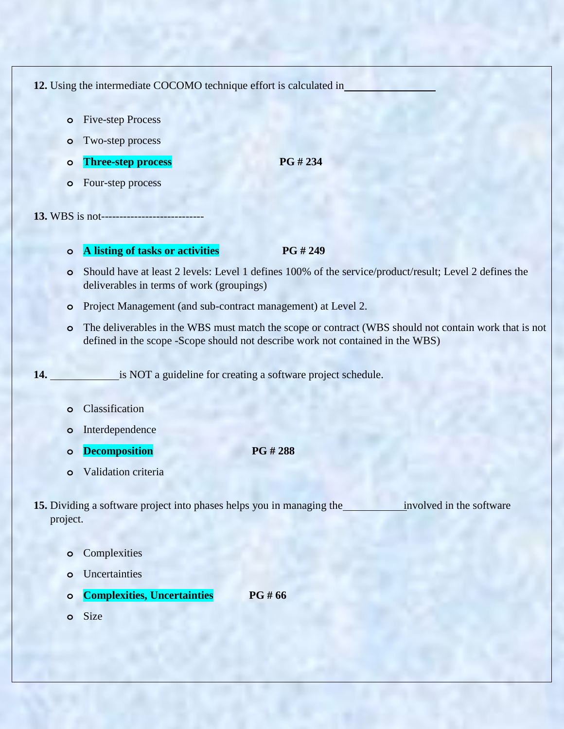**12.** Using the intermediate COCOMO technique effort is calculated in

- **o** Five-step Process
- **o** Two-step process
- **o Three-step process PG # 234**
- **o** Four-step process

**13.** WBS is not----------------------------

## **o A listing of tasks or activities PG # 249**

- **o** Should have at least 2 levels: Level 1 defines 100% of the service/product/result; Level 2 defines the deliverables in terms of work (groupings)
- **o** Project Management (and sub-contract management) at Level 2.
- **o** The deliverables in the WBS must match the scope or contract (WBS should not contain work that is not defined in the scope -Scope should not describe work not contained in the WBS)

14. **is NOT** a guideline for creating a software project schedule.

- **o** Classification
- **o** Interdependence
- **o Decomposition PG # 288**
- **o** Validation criteria

**15.** Dividing a software project into phases helps you in managing the involved in the software project.

- **o** Complexities
- **o** Uncertainties
- **o Complexities, Uncertainties PG # 66**
- **o** Size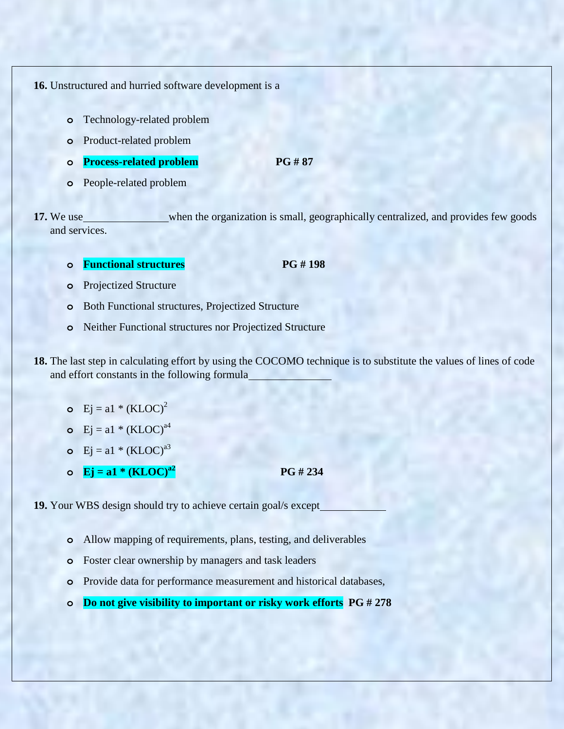**16.** Unstructured and hurried software development is a

- **o** Technology-related problem
- **o** Product-related problem
- **o Process-related problem PG # 87**
- **o** People-related problem

**17.** We use when the organization is small, geographically centralized, and provides few goods and services.

- **o Functional structures PG # 198**
- **o** Projectized Structure
- **o** Both Functional structures, Projectized Structure
- **o** Neither Functional structures nor Projectized Structure
- **18.** The last step in calculating effort by using the COCOMO technique is to substitute the values of lines of code and effort constants in the following formula
	- **o**  $Ej = a1 * (KLOC)^2$
	- **o**  $Ei = a1 * (KLOC)^{a4}$
	- **o** Ej =  $a1 * (KLOC)^{a3}$
	- **o**  $Ej = a1 * (KLOC)^{a2}$  **PG** # 234

**19.** Your WBS design should try to achieve certain goal/s except

- **o** Allow mapping of requirements, plans, testing, and deliverables
- **o** Foster clear ownership by managers and task leaders
- **o** Provide data for performance measurement and historical databases,
- **o Do not give visibility to important or risky work efforts PG # 278**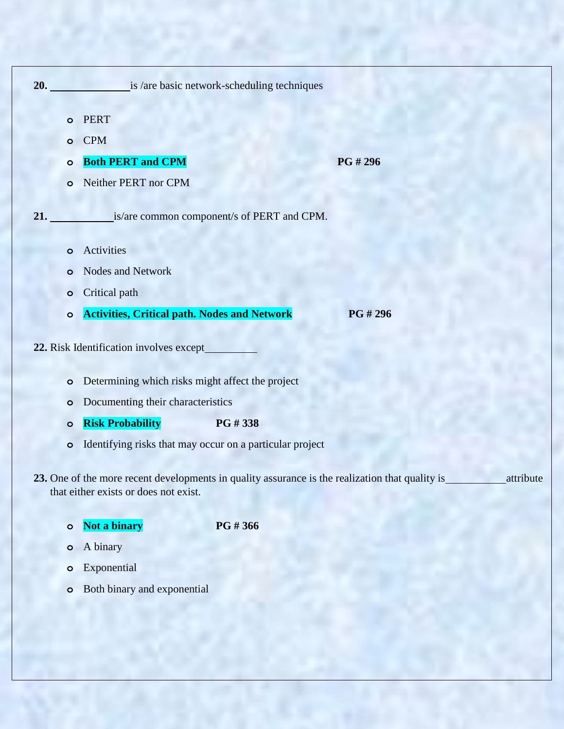| 20. |           | is /are basic network-scheduling techniques                                                                                                           |
|-----|-----------|-------------------------------------------------------------------------------------------------------------------------------------------------------|
|     | $\circ$   | <b>PERT</b>                                                                                                                                           |
|     | $\circ$   | <b>CPM</b>                                                                                                                                            |
|     | O         | <b>Both PERT and CPM</b><br>PG #296                                                                                                                   |
|     | O         | Neither PERT nor CPM                                                                                                                                  |
| 21. |           | is/are common component/s of PERT and CPM.                                                                                                            |
|     | O         | Activities                                                                                                                                            |
|     | O         | <b>Nodes and Network</b>                                                                                                                              |
|     | O         | Critical path                                                                                                                                         |
|     | $\circ$   | <b>Activities, Critical path. Nodes and Network</b><br>PG #296                                                                                        |
|     |           | 22. Risk Identification involves except                                                                                                               |
|     | $\circ$   | Determining which risks might affect the project                                                                                                      |
|     | O         | Documenting their characteristics                                                                                                                     |
|     | $\circ$   | <b>Risk Probability</b><br>PG #338                                                                                                                    |
|     | $\bullet$ | Identifying risks that may occur on a particular project                                                                                              |
|     |           | 23. One of the more recent developments in quality assurance is the realization that quality is<br>attribute<br>that either exists or does not exist. |

**o Not a binary PG # 366**

- **o** A binary
- **o** Exponential
- **o** Both binary and exponential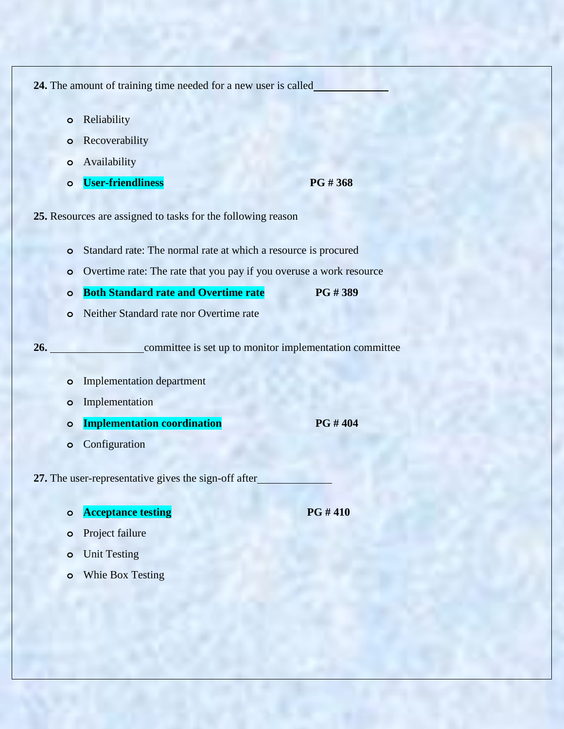**24.** The amount of training time needed for a new user is called

- **o** Reliability
- **o** Recoverability
- **o** Availability
- **o User-friendliness PG # 368**

**25.** Resources are assigned to tasks for the following reason

- **o** Standard rate: The normal rate at which a resource is procured
- **o** Overtime rate: The rate that you pay if you overuse a work resource
- **o Both Standard rate and Overtime rate PG # 389**
- **o** Neither Standard rate nor Overtime rate

**26.** committee is set up to monitor implementation committee

- **o** Implementation department
- **o** Implementation
- **o Implementation coordination PG # 404**
- **o** Configuration

**27.** The user-representative gives the sign-off after

**o Acceptance testing PG # 410** 

- **o** Project failure
- **o** Unit Testing
- **o** Whie Box Testing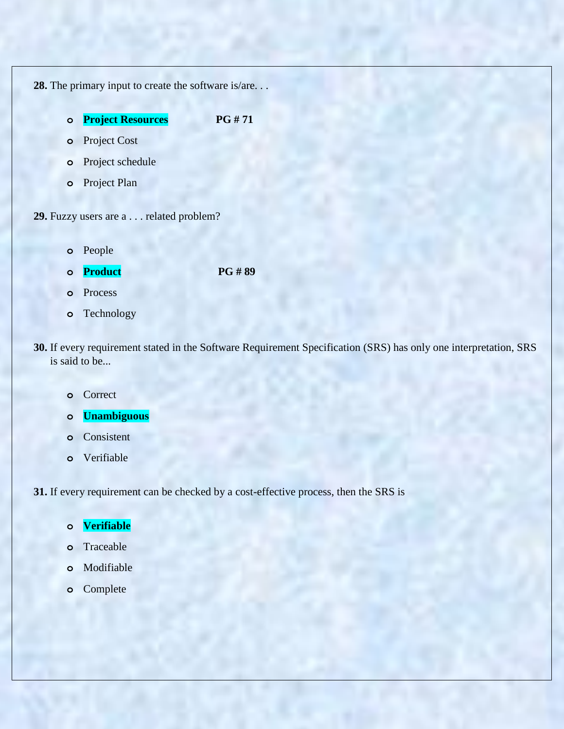**28.** The primary input to create the software is/are. . . **o Project Resources PG # 71 o** Project Cost **o** Project schedule

**o** Project Plan

**29.** Fuzzy users are a . . . related problem?

**o** People

**o Product PG # 89** 

- **o** Process
- **o** Technology
- **30.** If every requirement stated in the Software Requirement Specification (SRS) has only one interpretation, SRS is said to be...
	- **o** Correct
	- **o Unambiguous**
	- **o** Consistent
	- **o** Verifiable

**31.** If every requirement can be checked by a cost-effective process, then the SRS is

- **o Verifiable**
- **o** Traceable
- **o** Modifiable
- **o** Complete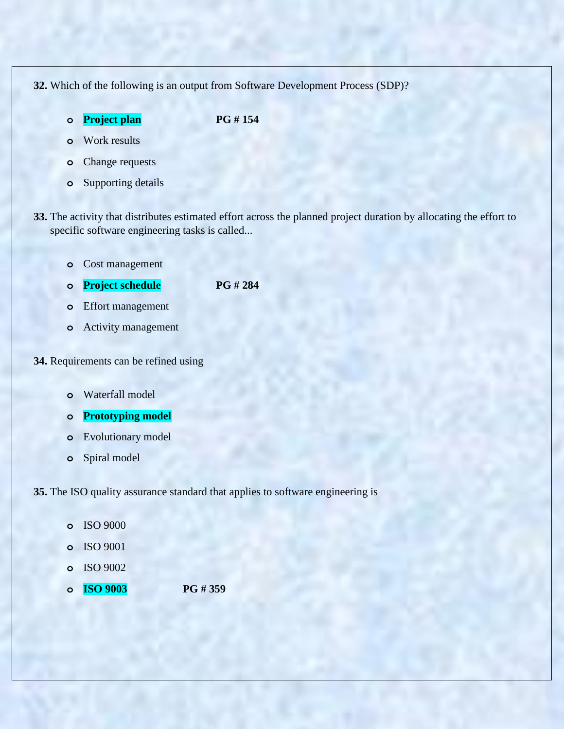**32.** Which of the following is an output from Software Development Process (SDP)?

**o Project plan PG # 154**

- **o** Work results
- **o** Change requests
- **o** Supporting details
- **33.** The activity that distributes estimated effort across the planned project duration by allocating the effort to specific software engineering tasks is called...
	- **o** Cost management
	- **o Project schedule PG # 284**
	- **o** Effort management
	- **o** Activity management
- **34.** Requirements can be refined using
	- **o** Waterfall model
	- **o Prototyping model**
	- **o** Evolutionary model
	- **o** Spiral model

**35.** The ISO quality assurance standard that applies to software engineering is

- **o** ISO 9000
- **o** ISO 9001
- **o** ISO 9002
- **o ISO 9003 PG # 359**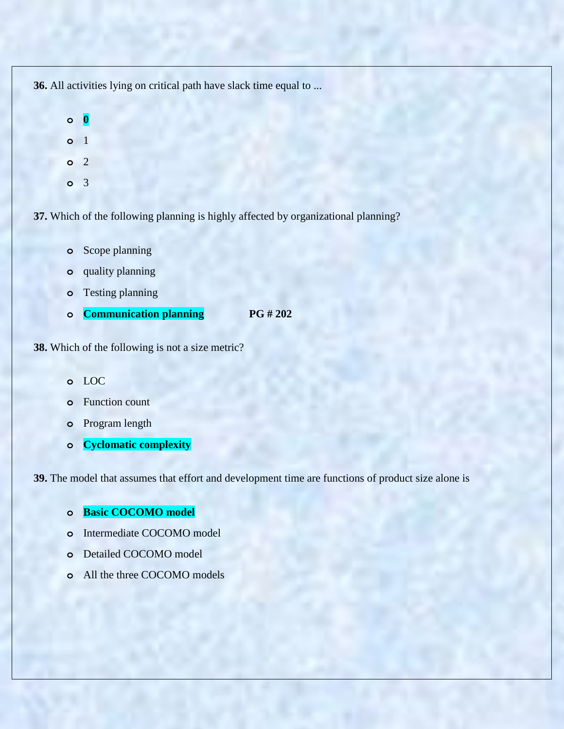**36.** All activities lying on critical path have slack time equal to ...

- **o 0 o** 1 **o** 2
- **o** 3

**37.** Which of the following planning is highly affected by organizational planning?

- **o** Scope planning
- **o** quality planning
- **o** Testing planning
- **o Communication planning PG # 202**

**38.** Which of the following is not a size metric?

- **o** LOC
- **o** Function count
- **o** Program length
- **o Cyclomatic complexity**

**39.** The model that assumes that effort and development time are functions of product size alone is

- **o Basic COCOMO model**
- **o** Intermediate COCOMO model
- **o** Detailed COCOMO model
- **o** All the three COCOMO models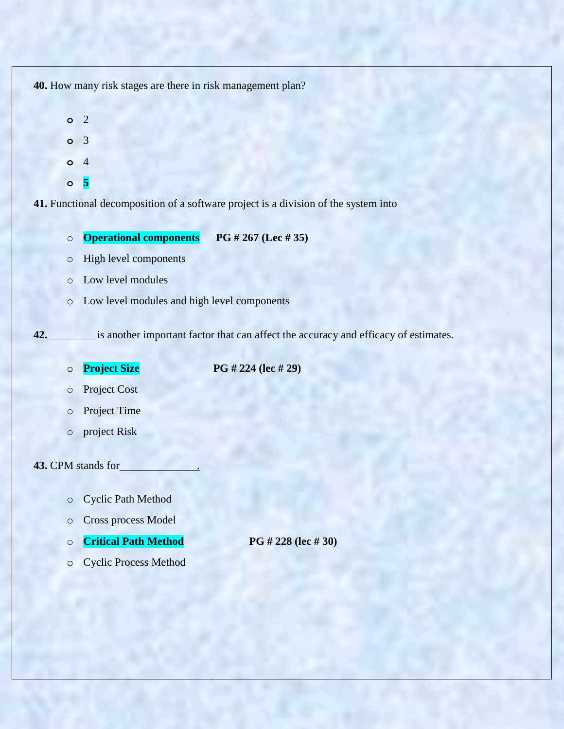**40.** How many risk stages are there in risk management plan? **o** 2 **o** 3 **o** 4 **o 5 41.** Functional decomposition of a software project is a division of the system into o **Operational components PG # 267 (Lec # 35)** o High level components o Low level modules o Low level modules and high level components **42.** is another important factor that can affect the accuracy and efficacy of estimates. o **Project Size PG # 224 (lec # 29)** o Project Cost o Project Time o project Risk **43.** CPM stands for . o Cyclic Path Method o Cross process Model o **Critical Path Method PG # 228 (lec # 30)** o Cyclic Process Method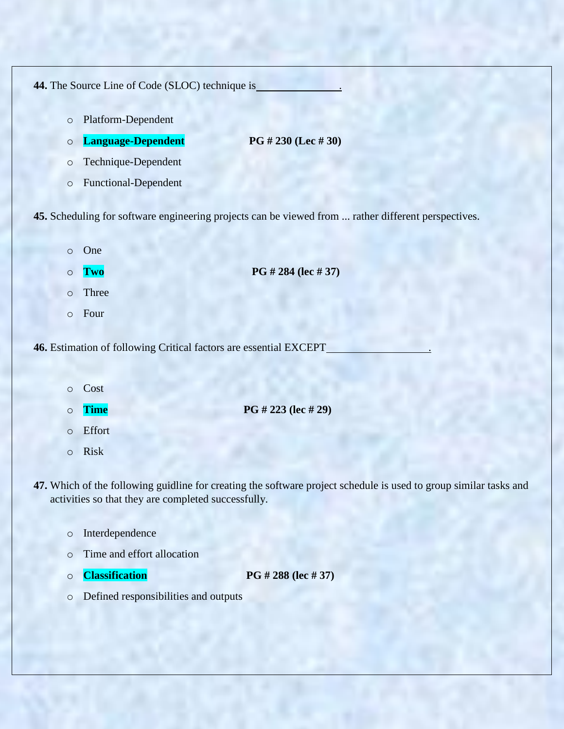| 44. The Source Line of Code (SLOC) technique is                   |                                                                                                                   |  |
|-------------------------------------------------------------------|-------------------------------------------------------------------------------------------------------------------|--|
| $\circ$                                                           | Platform-Dependent                                                                                                |  |
| $\circ$                                                           | Language-Dependent<br>PG # 230 (Lec # 30)                                                                         |  |
| $\circ$                                                           | Technique-Dependent                                                                                               |  |
| $\circ$                                                           | Functional-Dependent                                                                                              |  |
|                                                                   | 45. Scheduling for software engineering projects can be viewed from  rather different perspectives.               |  |
| $\circ$                                                           | One                                                                                                               |  |
| $\circ$                                                           | PG # 284 (lec # 37)<br>Two                                                                                        |  |
| $\circ$                                                           | Three                                                                                                             |  |
| $\circ$                                                           | Four                                                                                                              |  |
| 46. Estimation of following Critical factors are essential EXCEPT |                                                                                                                   |  |
| $\circ$                                                           | Cost                                                                                                              |  |
| $\circ$                                                           | PG # 223 (lec # 29)<br><b>Time</b>                                                                                |  |
| $\circ$                                                           | Effort                                                                                                            |  |
| $\circ$                                                           | <b>Risk</b>                                                                                                       |  |
|                                                                   | 47. Which of the following guidline for creating the software project schedule is used to group similar tasks and |  |

- activities so that they are completed successfully.
	- o Interdependence
	- o Time and effort allocation
	-

o **Classification PG # 288 (lec # 37)** 

o Defined responsibilities and outputs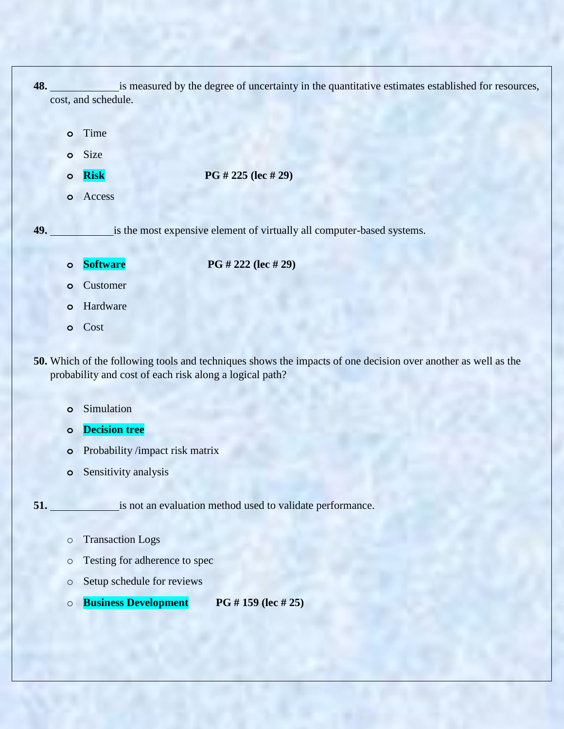**48.** is measured by the degree of uncertainty in the quantitative estimates established for resources, cost, and schedule.

- **o** Time
- **o** Size
- **o Risk PG # 225 (lec # 29)**
- **o** Access

**49.** is the most expensive element of virtually all computer-based systems.

**o Software PG # 222 (lec # 29)**

- **o** Customer
- **o** Hardware
- **o** Cost
- **50.** Which of the following tools and techniques shows the impacts of one decision over another as well as the probability and cost of each risk along a logical path?
	- **o** Simulation
	- **o Decision tree**
	- **o** Probability /impact risk matrix
	- **o** Sensitivity analysis

**51.** is not an evaluation method used to validate performance.

- o Transaction Logs
- o Testing for adherence to spec
- o Setup schedule for reviews
- o **Business Development PG # 159 (lec # 25)**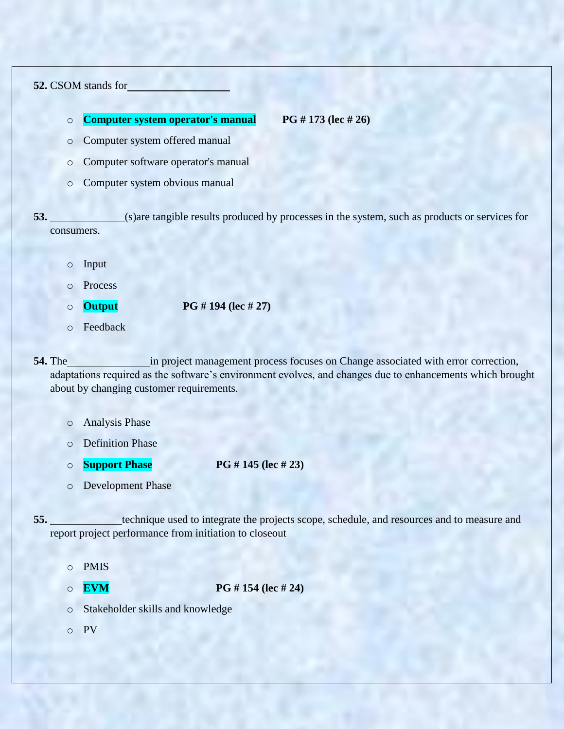## **52.** CSOM stands for

o **Computer system operator's manual PG # 173 (lec # 26)**

- o Computer system offered manual
- o Computer software operator's manual
- o Computer system obvious manual

**53.** (s)are tangible results produced by processes in the system, such as products or services for consumers.

- o Input
- o Process
- o **Output PG # 194 (lec # 27)**
- o Feedback

**54.** The in project management process focuses on Change associated with error correction, adaptations required as the software's environment evolves, and changes due to enhancements which brought about by changing customer requirements.

- o Analysis Phase
- o Definition Phase
- o **Support Phase PG # 145 (lec # 23)**
- o Development Phase

**55.** technique used to integrate the projects scope, schedule, and resources and to measure and report project performance from initiation to closeout

- o PMIS
- o **EVM PG # 154 (lec # 24)**
- o Stakeholder skills and knowledge
- o PV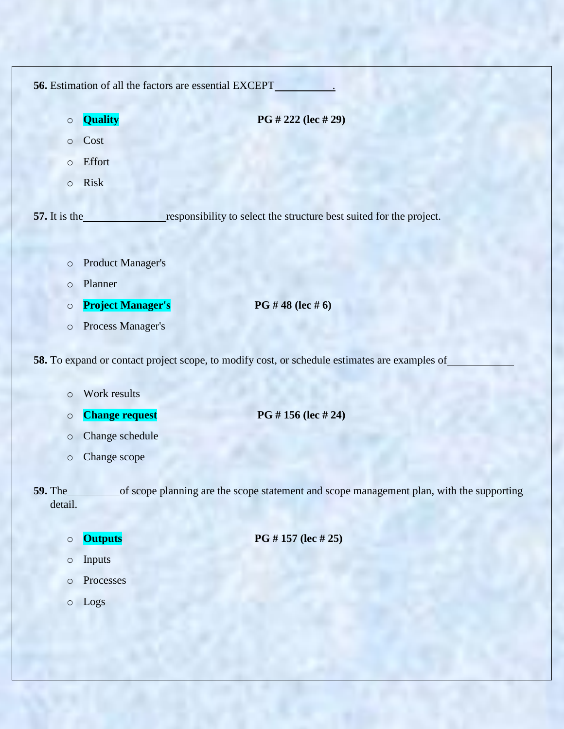| 56. Estimation of all the factors are essential EXCEPT |                          |                                                                                               |
|--------------------------------------------------------|--------------------------|-----------------------------------------------------------------------------------------------|
| $\circ$                                                | Quality                  | PG # 222 (lec # 29)                                                                           |
| $\circ$                                                | Cost                     |                                                                                               |
| $\circ$                                                | Effort                   |                                                                                               |
| $\circ$                                                | Risk                     |                                                                                               |
|                                                        |                          |                                                                                               |
| 57. It is the                                          |                          | responsibility to select the structure best suited for the project.                           |
|                                                        |                          |                                                                                               |
| $\circ$                                                | <b>Product Manager's</b> |                                                                                               |
| $\circ$                                                | Planner                  |                                                                                               |
| $\circ$                                                | <b>Project Manager's</b> | PG #48 (lec #6)                                                                               |
| $\circ$                                                | Process Manager's        |                                                                                               |
|                                                        |                          | 58. To expand or contact project scope, to modify cost, or schedule estimates are examples of |
|                                                        |                          |                                                                                               |
| $\circ$                                                | Work results             |                                                                                               |
| $\circ$                                                | <b>Change request</b>    | PG #156 (lec #24)                                                                             |
| $\circ$                                                | Change schedule          |                                                                                               |
| $\circ$                                                | Change scope             |                                                                                               |
| 59. The_                                               |                          | of scope planning are the scope statement and scope management plan, with the supporting      |
| detail.                                                |                          |                                                                                               |
|                                                        | <b>Outputs</b>           | PG #157 (lec #25)                                                                             |
| $\circ$                                                | Inputs                   |                                                                                               |
| $\bigcirc$                                             | Processes                |                                                                                               |
| $\circ$                                                | Logs                     |                                                                                               |
| $\circ$                                                |                          |                                                                                               |
|                                                        |                          |                                                                                               |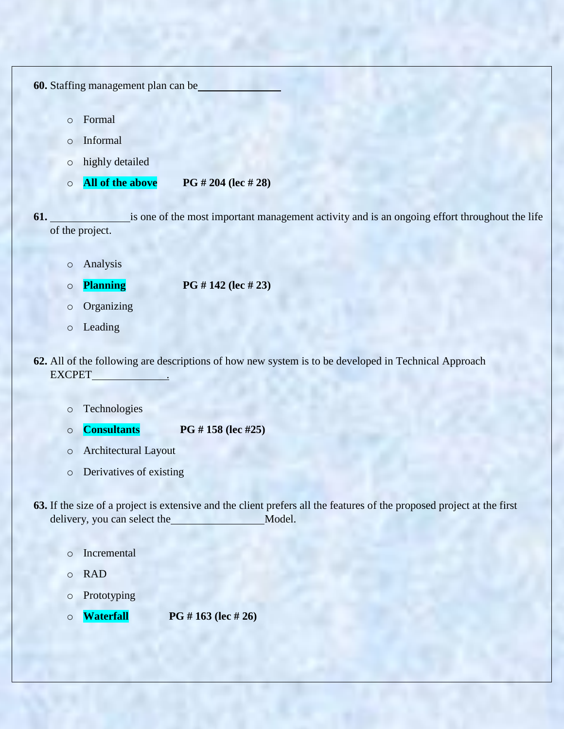| 60. Staffing management plan can be |         |                  |                                                                                               |
|-------------------------------------|---------|------------------|-----------------------------------------------------------------------------------------------|
|                                     | $\circ$ | Formal           |                                                                                               |
|                                     | $\circ$ | Informal         |                                                                                               |
|                                     | $\circ$ | highly detailed  |                                                                                               |
|                                     | $\circ$ | All of the above | PG # 204 (lec # 28)                                                                           |
| 61.                                 |         | of the project.  | is one of the most important management activity and is an ongoing effort throughout the life |
|                                     | $\circ$ | Analysis         |                                                                                               |
|                                     | $\circ$ | <b>Planning</b>  | PG # 142 (lec # 23)                                                                           |
|                                     | $\circ$ | Organizing       |                                                                                               |
|                                     | $\circ$ | Leading          |                                                                                               |

- **62.** All of the following are descriptions of how new system is to be developed in Technical Approach EXCPET\_
	- o Technologies
	- o **Consultants PG # 158 (lec #25)**
	- o Architectural Layout
	- o Derivatives of existing
- **63.** If the size of a project is extensive and the client prefers all the features of the proposed project at the first delivery, you can select the Model.
	- o Incremental
	- o RAD
	- o Prototyping
	- o **Waterfall PG # 163 (lec # 26)**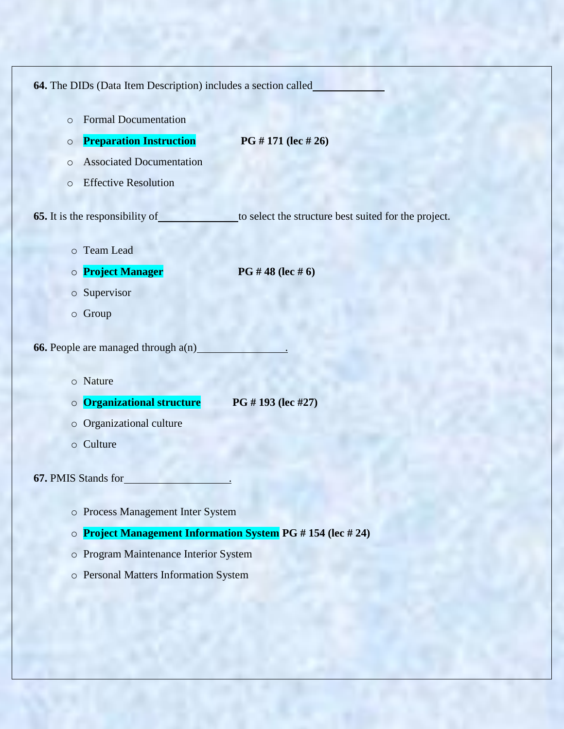**64.** The DIDs (Data Item Description) includes a section called o Formal Documentation o **Preparation Instruction PG # 171 (lec # 26)** o Associated Documentation o Effective Resolution **65.** It is the responsibility of to select the structure best suited for the project. o Team Lead o **Project Manager PG # 48 (lec # 6)** o Supervisor o Group **66.** People are managed through  $a(n)$ . o Nature o **Organizational structure PG # 193 (lec #27)** o Organizational culture o Culture **67.** PMIS Stands for . o Process Management Inter System o **Project Management Information System PG # 154 (lec # 24)**

- o Program Maintenance Interior System
- o Personal Matters Information System